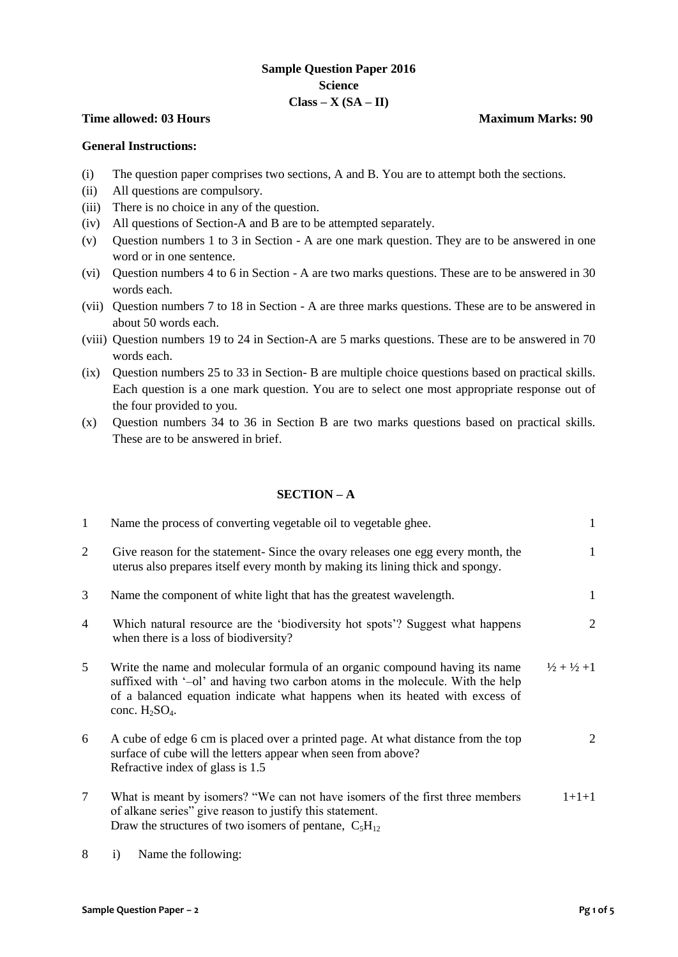## **Sample Question Paper 2016 Science Class – X (SA – II)**

#### **Time allowed: 03 Hours Maximum Marks: 90**

#### **General Instructions:**

- (i) The question paper comprises two sections, A and B. You are to attempt both the sections.
- (ii) All questions are compulsory.
- (iii) There is no choice in any of the question.
- (iv) All questions of Section-A and B are to be attempted separately.
- (v) Question numbers 1 to 3 in Section A are one mark question. They are to be answered in one word or in one sentence.
- (vi) Question numbers 4 to 6 in Section A are two marks questions. These are to be answered in 30 words each.
- (vii) Question numbers 7 to 18 in Section A are three marks questions. These are to be answered in about 50 words each.
- (viii) Question numbers 19 to 24 in Section-A are 5 marks questions. These are to be answered in 70 words each.
- (ix) Question numbers 25 to 33 in Section- B are multiple choice questions based on practical skills. Each question is a one mark question. You are to select one most appropriate response out of the four provided to you.
- (x) Question numbers 34 to 36 in Section B are two marks questions based on practical skills. These are to be answered in brief.

### **SECTION – A**

| 1 | Name the process of converting vegetable oil to vegetable ghee.                                                                                                                                                                                                   | 1                               |
|---|-------------------------------------------------------------------------------------------------------------------------------------------------------------------------------------------------------------------------------------------------------------------|---------------------------------|
| 2 | Give reason for the statement-Since the ovary releases one egg every month, the<br>uterus also prepares itself every month by making its lining thick and spongy.                                                                                                 | 1                               |
| 3 | Name the component of white light that has the greatest wavelength.                                                                                                                                                                                               | 1                               |
| 4 | Which natural resource are the 'biodiversity hot spots'? Suggest what happens<br>when there is a loss of biodiversity?                                                                                                                                            | 2                               |
| 5 | Write the name and molecular formula of an organic compound having its name<br>suffixed with '-ol' and having two carbon atoms in the molecule. With the help<br>of a balanced equation indicate what happens when its heated with excess of<br>conc. $H_2SO_4$ . | $\frac{1}{2} + \frac{1}{2} + 1$ |
| 6 | A cube of edge 6 cm is placed over a printed page. At what distance from the top<br>surface of cube will the letters appear when seen from above?<br>Refractive index of glass is 1.5                                                                             | 2                               |
| 7 | What is meant by isomers? "We can not have isomers of the first three members<br>of alkane series" give reason to justify this statement.<br>Draw the structures of two isomers of pentane, $C_5H_{12}$                                                           | $1 + 1 + 1$                     |

8 i) Name the following: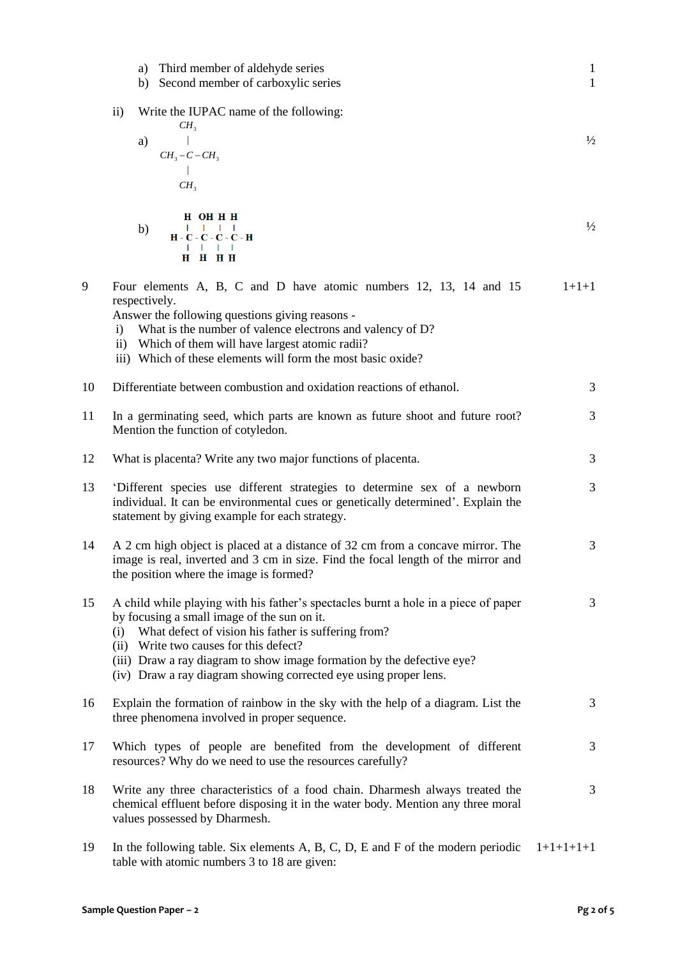|    | a) Third member of aldehyde series<br>b) Second member of carboxylic series                                                                                                                                                                                                                                                                                                           | $\mathbf{1}$<br>$\mathbf{1}$ |
|----|---------------------------------------------------------------------------------------------------------------------------------------------------------------------------------------------------------------------------------------------------------------------------------------------------------------------------------------------------------------------------------------|------------------------------|
|    | Write the IUPAC name of the following:<br>$\mathbf{ii}$<br>CH <sub>3</sub><br>a)<br>$CH_3-C-CH_3$<br>CH <sub>3</sub>                                                                                                                                                                                                                                                                  | $\frac{1}{2}$                |
|    | H OH H H<br>$\mathbf{I} = \mathbf{I} - \mathbf{I}$<br>b)<br>$H - C - C - C - C - H$<br>$1$ $1$ $1$ $1$<br>H H H H                                                                                                                                                                                                                                                                     | $\frac{1}{2}$                |
| 9  | Four elements A, B, C and D have atomic numbers 12, 13, 14 and 15<br>respectively.<br>Answer the following questions giving reasons -<br>What is the number of valence electrons and valency of D?<br>$\mathbf{i}$<br>ii) Which of them will have largest atomic radii?<br>iii) Which of these elements will form the most basic oxide?                                               | $1+1+1$                      |
| 10 | Differentiate between combustion and oxidation reactions of ethanol.                                                                                                                                                                                                                                                                                                                  | 3                            |
| 11 | In a germinating seed, which parts are known as future shoot and future root?<br>Mention the function of cotyledon.                                                                                                                                                                                                                                                                   | 3                            |
| 12 | What is placenta? Write any two major functions of placenta.                                                                                                                                                                                                                                                                                                                          | 3                            |
| 13 | 'Different species use different strategies to determine sex of a newborn<br>individual. It can be environmental cues or genetically determined'. Explain the<br>statement by giving example for each strategy.                                                                                                                                                                       | 3                            |
| 14 | A 2 cm high object is placed at a distance of 32 cm from a concave mirror. The<br>image is real, inverted and 3 cm in size. Find the focal length of the mirror and<br>the position where the image is formed?                                                                                                                                                                        | 3                            |
| 15 | A child while playing with his father's spectacles burnt a hole in a piece of paper<br>by focusing a small image of the sun on it.<br>(i) What defect of vision his father is suffering from?<br>(ii) Write two causes for this defect?<br>(iii) Draw a ray diagram to show image formation by the defective eye?<br>(iv) Draw a ray diagram showing corrected eye using proper lens. | 3                            |
| 16 | Explain the formation of rainbow in the sky with the help of a diagram. List the<br>three phenomena involved in proper sequence.                                                                                                                                                                                                                                                      | 3                            |
| 17 | Which types of people are benefited from the development of different<br>resources? Why do we need to use the resources carefully?                                                                                                                                                                                                                                                    | 3                            |
| 18 | Write any three characteristics of a food chain. Dharmesh always treated the<br>chemical effluent before disposing it in the water body. Mention any three moral<br>values possessed by Dharmesh.                                                                                                                                                                                     | 3                            |
| 19 | In the following table. Six elements $A$ , $B$ , $C$ , $D$ , $E$ and $F$ of the modern periodic<br>table with atomic numbers 3 to 18 are given:                                                                                                                                                                                                                                       | $1+1+1+1+1$                  |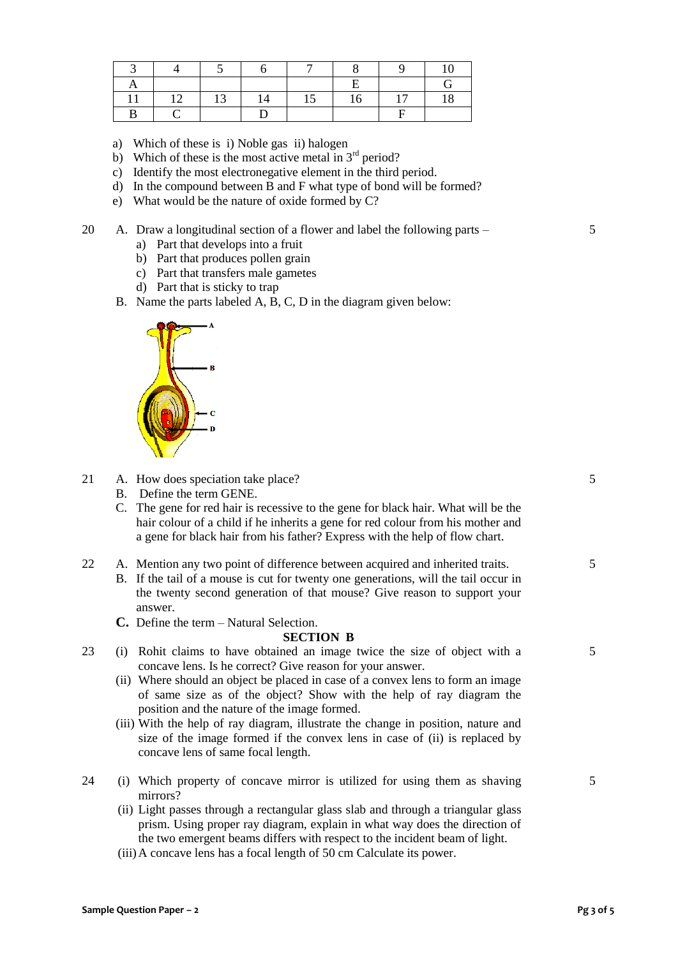|  | 12<br>⊥ັ | 14 | ⊥້ | 16 | 17 | 18 |
|--|----------|----|----|----|----|----|
|  |          |    |    |    |    |    |

- a) Which of these is i) Noble gas ii) halogen
- b) Which of these is the most active metal in  $3<sup>rd</sup>$  period?
- c) Identify the most electronegative element in the third period.
- d) In the compound between B and F what type of bond will be formed?
- e) What would be the nature of oxide formed by C?
- 20 A. Draw a longitudinal section of a flower and label the following parts
	- a) Part that develops into a fruit
	- b) Part that produces pollen grain
	- c) Part that transfers male gametes
	- d) Part that is sticky to trap
	- B. Name the parts labeled A, B, C, D in the diagram given below:



- 21 A. How does speciation take place?
	- B. Define the term GENE.
	- C. The gene for red hair is recessive to the gene for black hair. What will be the hair colour of a child if he inherits a gene for red colour from his mother and a gene for black hair from his father? Express with the help of flow chart.
- 22 A. Mention any two point of difference between acquired and inherited traits.
	- B. If the tail of a mouse is cut for twenty one generations, will the tail occur in the twenty second generation of that mouse? Give reason to support your answer.
	- **C.** Define the term Natural Selection.

#### **SECTION B**

- 23 (i) Rohit claims to have obtained an image twice the size of object with a concave lens. Is he correct? Give reason for your answer.
	- (ii) Where should an object be placed in case of a convex lens to form an image of same size as of the object? Show with the help of ray diagram the position and the nature of the image formed.
	- (iii) With the help of ray diagram, illustrate the change in position, nature and size of the image formed if the convex lens in case of (ii) is replaced by concave lens of same focal length.
- 24 (i) Which property of concave mirror is utilized for using them as shaving mirrors?
	- (ii) Light passes through a rectangular glass slab and through a triangular glass prism. Using proper ray diagram, explain in what way does the direction of the two emergent beams differs with respect to the incident beam of light.
	- (iii)A concave lens has a focal length of 50 cm Calculate its power.

5

5

5

5

5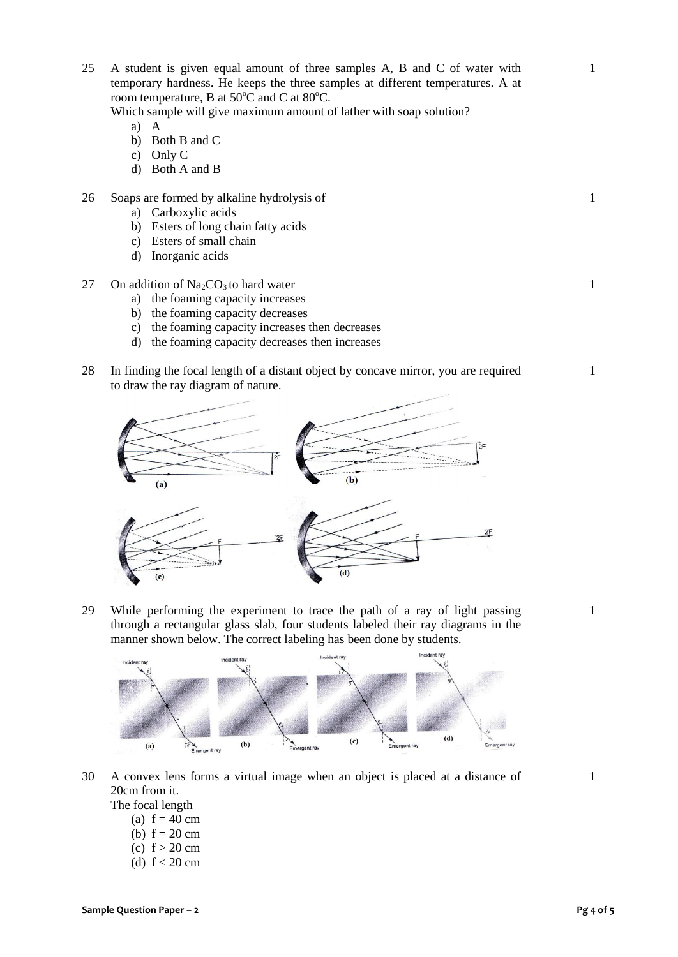(a)  $f = 40$  cm (b)  $f = 20$  cm (c)  $f > 20$  cm (d)  $f < 20$  cm

25 A student is given equal amount of three samples A, B and C of water with temporary hardness. He keeps the three samples at different temperatures. A at room temperature, B at  $50^{\circ}$ C and C at  $80^{\circ}$ C.

Which sample will give maximum amount of lather with soap solution?

- a) A
- b) Both B and C
- c) Only C
- d) Both A and B

# 26 Soaps are formed by alkaline hydrolysis of

- a) Carboxylic acids
- b) Esters of long chain fatty acids
- c) Esters of small chain
- d) Inorganic acids
- 27 On addition of  $Na<sub>2</sub>CO<sub>3</sub>$  to hard water
	- a) the foaming capacity increases
	- b) the foaming capacity decreases
	- c) the foaming capacity increases then decreases
	- d) the foaming capacity decreases then increases
- 28 In finding the focal length of a distant object by concave mirror, you are required to draw the ray diagram of nature.



29 While performing the experiment to trace the path of a ray of light passing through a rectangular glass slab, four students labeled their ray diagrams in the manner shown below. The correct labeling has been done by students.



30 A convex lens forms a virtual image when an object is placed at a distance of 20cm from it. The focal length

1



1

1

1